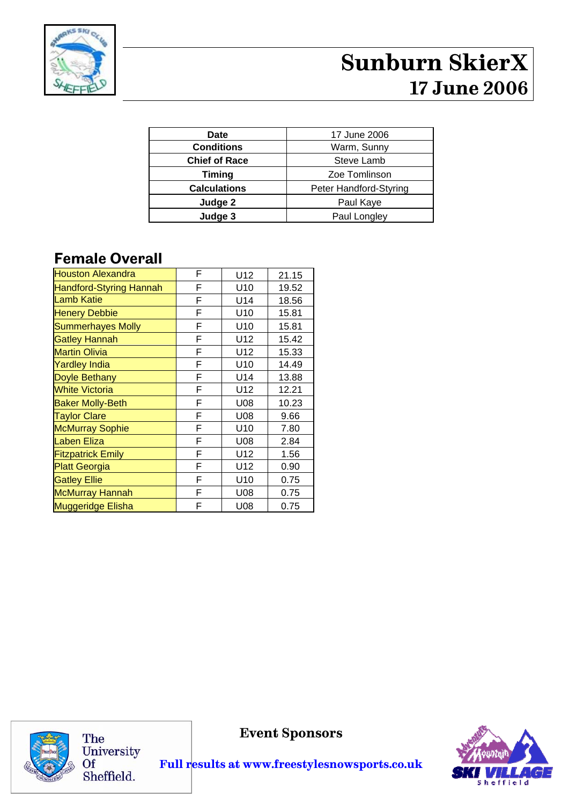

# **Sunburn SkierX 17 June 2006**

| Date                 | 17 June 2006           |
|----------------------|------------------------|
| <b>Conditions</b>    | Warm, Sunny            |
| <b>Chief of Race</b> | Steve Lamb             |
| <b>Timing</b>        | Zoe Tomlinson          |
| <b>Calculations</b>  | Peter Handford-Styring |
| Judge 2              | Paul Kaye              |
| Judge 3              | Paul Longley           |

#### **Female Overall**

| <b>Houston Alexandra</b>       | F | U12             | 21.15 |
|--------------------------------|---|-----------------|-------|
| <b>Handford-Styring Hannah</b> | F | U <sub>10</sub> | 19.52 |
| <b>Lamb Katie</b>              | F | U14             | 18.56 |
| <b>Henery Debbie</b>           | F | U10             | 15.81 |
| <b>Summerhayes Molly</b>       | F | U10             | 15.81 |
| <b>Gatley Hannah</b>           | F | U12             | 15.42 |
| <b>Martin Olivia</b>           | F | U12             | 15.33 |
| <b>Yardley India</b>           | F | U10             | 14.49 |
| <b>Doyle Bethany</b>           | F | U14             | 13.88 |
| <b>White Victoria</b>          | F | U12             | 12.21 |
| <b>Baker Molly-Beth</b>        | F | U08             | 10.23 |
| <b>Taylor Clare</b>            | F | U08             | 9.66  |
| <b>McMurray Sophie</b>         | F | U10             | 7.80  |
| Laben Eliza                    | F | U08             | 2.84  |
| <b>Fitzpatrick Emily</b>       | F | U12             | 1.56  |
| <b>Platt Georgia</b>           | F | U12             | 0.90  |
| <b>Gatley Ellie</b>            | F | U10             | 0.75  |
| <b>McMurray Hannah</b>         | F | U08             | 0.75  |
| <b>Muggeridge Elisha</b>       | F | U08             | 0.75  |



The University<br>Of Sheffield.

**Event Sponsors** 

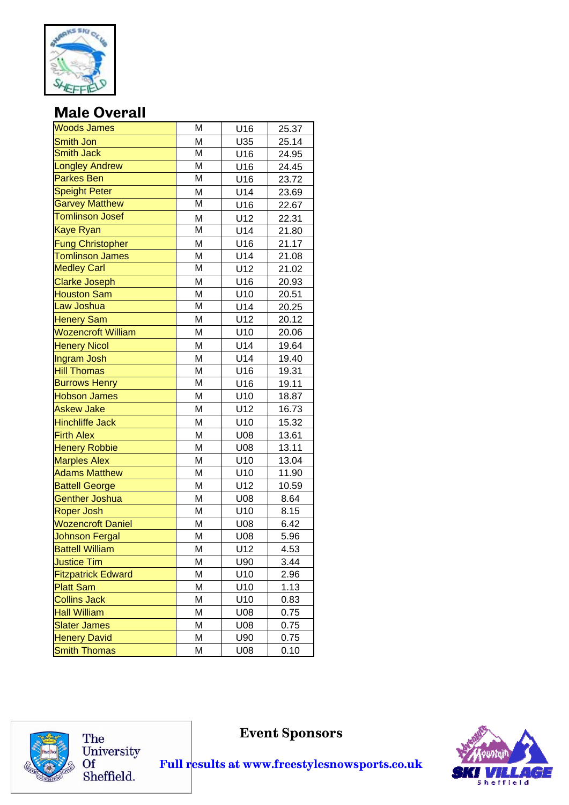

## **Male Overall**

| <b>Woods James</b>        | Μ                       | U16 | 25.37 |
|---------------------------|-------------------------|-----|-------|
| <b>Smith Jon</b>          | M                       | U35 | 25.14 |
| <b>Smith Jack</b>         | М                       | U16 | 24.95 |
| <b>Longley Andrew</b>     | M                       | U16 | 24.45 |
| <b>Parkes Ben</b>         | $\overline{\mathsf{M}}$ | U16 | 23.72 |
| <b>Speight Peter</b>      | M                       | U14 | 23.69 |
| <b>Garvey Matthew</b>     | $\overline{\mathsf{M}}$ | U16 | 22.67 |
| <b>Tomlinson Josef</b>    | M                       | U12 | 22.31 |
| <b>Kaye Ryan</b>          | M                       | U14 | 21.80 |
| <b>Fung Christopher</b>   | M                       | U16 | 21.17 |
| <b>Tomlinson James</b>    | M                       | U14 | 21.08 |
| <b>Medley Carl</b>        | М                       | U12 | 21.02 |
| <b>Clarke Joseph</b>      | M                       | U16 | 20.93 |
| <b>Houston Sam</b>        | M                       | U10 | 20.51 |
| Law Joshua                | M                       | U14 | 20.25 |
| <b>Henery Sam</b>         | M                       | U12 | 20.12 |
| <b>Wozencroft William</b> | M                       | U10 | 20.06 |
| <b>Henery Nicol</b>       | M                       | U14 | 19.64 |
| Ingram Josh               | M                       | U14 | 19.40 |
| <b>Hill Thomas</b>        | M                       | U16 | 19.31 |
| <b>Burrows Henry</b>      | M                       | U16 | 19.11 |
| <b>Hobson James</b>       | M                       | U10 | 18.87 |
| <b>Askew Jake</b>         | M                       | U12 | 16.73 |
| <b>Hinchliffe Jack</b>    | M                       | U10 | 15.32 |
| <b>Firth Alex</b>         | M                       | U08 | 13.61 |
| <b>Henery Robbie</b>      | M                       | U08 | 13.11 |
| <b>Marples Alex</b>       | M                       | U10 | 13.04 |
| <b>Adams Matthew</b>      | M                       | U10 | 11.90 |
| <b>Battell George</b>     | M                       | U12 | 10.59 |
| <b>Genther Joshua</b>     | M                       | U08 | 8.64  |
| <b>Roper Josh</b>         | M                       | U10 | 8.15  |
| <b>Wozencroft Daniel</b>  | M                       | U08 | 6.42  |
| <b>Johnson Fergal</b>     | M                       | U08 | 5.96  |
| <b>Battell William</b>    | M                       | U12 | 4.53  |
| <b>Justice Tim</b>        | M                       | U90 | 3.44  |
| <b>Fitzpatrick Edward</b> | M                       | U10 | 2.96  |
| <b>Platt Sam</b>          | М                       | U10 | 1.13  |
| <b>Collins Jack</b>       | M                       | U10 | 0.83  |
| <b>Hall William</b>       | М                       | U08 | 0.75  |
| <b>Slater James</b>       | M                       | U08 | 0.75  |
| <b>Henery David</b>       | M                       | U90 | 0.75  |
| <b>Smith Thomas</b>       | M                       | U08 | 0.10  |



The University<br>Of<br>Sheffield.

**Event Sponsors** 

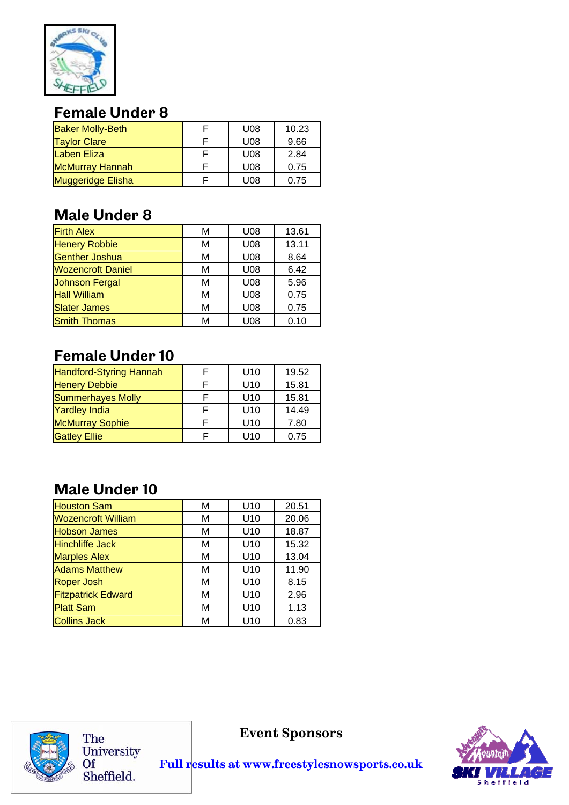

# **Female Under 8**

| <b>Baker Molly-Beth</b> | U <sub>08</sub> | 10.23 |
|-------------------------|-----------------|-------|
| <b>Taylor Clare</b>     | U08             | 9.66  |
| <b>Laben Eliza</b>      | U08             | 2.84  |
| <b>McMurray Hannah</b>  | U08             | 0.75  |
| Muggeridge Elisha       | U08             | 0.75  |

## **Male Under 8**

| <b>Firth Alex</b>        | М | U08 | 13.61 |
|--------------------------|---|-----|-------|
| <b>Henery Robbie</b>     | M | U08 | 13.11 |
| <b>Genther Joshua</b>    | м | U08 | 8.64  |
| <b>Wozencroft Daniel</b> | M | U08 | 6.42  |
| <b>Johnson Fergal</b>    | м | U08 | 5.96  |
| <b>Hall William</b>      | M | U08 | 0.75  |
| <b>Slater James</b>      | М | U08 | 0.75  |
| <b>Smith Thomas</b>      | М | U08 | 0.10  |

## **Female Under 10**

| <b>Handford-Styring Hannah</b> | U <sub>10</sub> | 19.52 |
|--------------------------------|-----------------|-------|
| <b>Henery Debbie</b>           | U <sub>10</sub> | 15.81 |
| <b>Summerhayes Molly</b>       | U <sub>10</sub> | 15.81 |
| <b>Yardley India</b>           | U <sub>10</sub> | 14.49 |
| <b>McMurray Sophie</b>         | U <sub>10</sub> | 7.80  |
| <b>Gatley Ellie</b>            | U <sub>10</sub> | 0.75  |

# **Male Under 10**

| <b>Houston Sam</b>        | м | U <sub>10</sub> | 20.51 |
|---------------------------|---|-----------------|-------|
| <b>Wozencroft William</b> | м | U <sub>10</sub> | 20.06 |
| <b>Hobson James</b>       | М | U <sub>10</sub> | 18.87 |
| <b>Hinchliffe Jack</b>    | М | U <sub>10</sub> | 15.32 |
| <b>Marples Alex</b>       | М | U <sub>10</sub> | 13.04 |
| <b>Adams Matthew</b>      | М | U <sub>10</sub> | 11.90 |
| <b>Roper Josh</b>         | М | U <sub>10</sub> | 8.15  |
| <b>Fitzpatrick Edward</b> | м | U <sub>10</sub> | 2.96  |
| <b>Platt Sam</b>          | М | U <sub>10</sub> | 1.13  |
| <b>Collins Jack</b>       | М | U <sub>10</sub> | 0.83  |



The University<br>Of Sheffield.

**Event Sponsors**